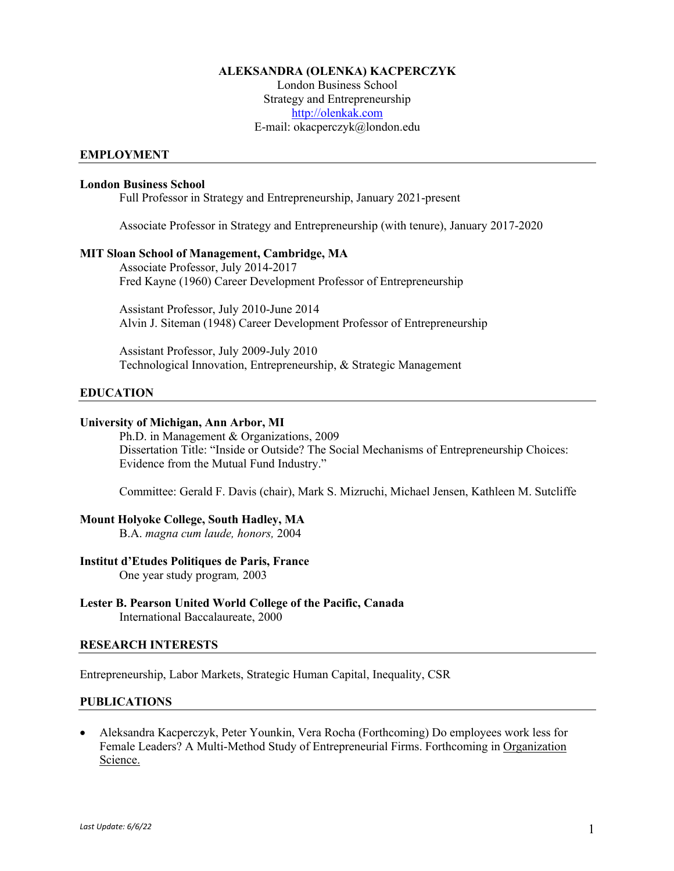#### **ALEKSANDRA (OLENKA) KACPERCZYK**

London Business School Strategy and Entrepreneurship http://olenkak.com E‐mail: okacperczyk@london.edu

#### **EMPLOYMENT**

#### **London Business School**

Full Professor in Strategy and Entrepreneurship, January 2021-present

Associate Professor in Strategy and Entrepreneurship (with tenure), January 2017-2020

#### **MIT Sloan School of Management, Cambridge, MA**

Associate Professor, July 2014-2017 Fred Kayne (1960) Career Development Professor of Entrepreneurship

Assistant Professor, July 2010-June 2014 Alvin J. Siteman (1948) Career Development Professor of Entrepreneurship

Assistant Professor, July 2009-July 2010 Technological Innovation, Entrepreneurship, & Strategic Management

#### **EDUCATION**

#### **University of Michigan, Ann Arbor, MI**

Ph.D. in Management & Organizations, 2009 Dissertation Title: "Inside or Outside? The Social Mechanisms of Entrepreneurship Choices: Evidence from the Mutual Fund Industry."

Committee: Gerald F. Davis (chair), Mark S. Mizruchi, Michael Jensen, Kathleen M. Sutcliffe

**Mount Holyoke College, South Hadley, MA**  B.A. *magna cum laude, honors,* 2004

- **Institut d'Etudes Politiques de Paris, France** One year study program*,* 2003
- **Lester B. Pearson United World College of the Pacific, Canada** International Baccalaureate, 2000

#### **RESEARCH INTERESTS**

Entrepreneurship, Labor Markets, Strategic Human Capital, Inequality, CSR

#### **PUBLICATIONS**

• Aleksandra Kacperczyk, Peter Younkin, Vera Rocha (Forthcoming) Do employees work less for Female Leaders? A Multi-Method Study of Entrepreneurial Firms. Forthcoming in Organization Science.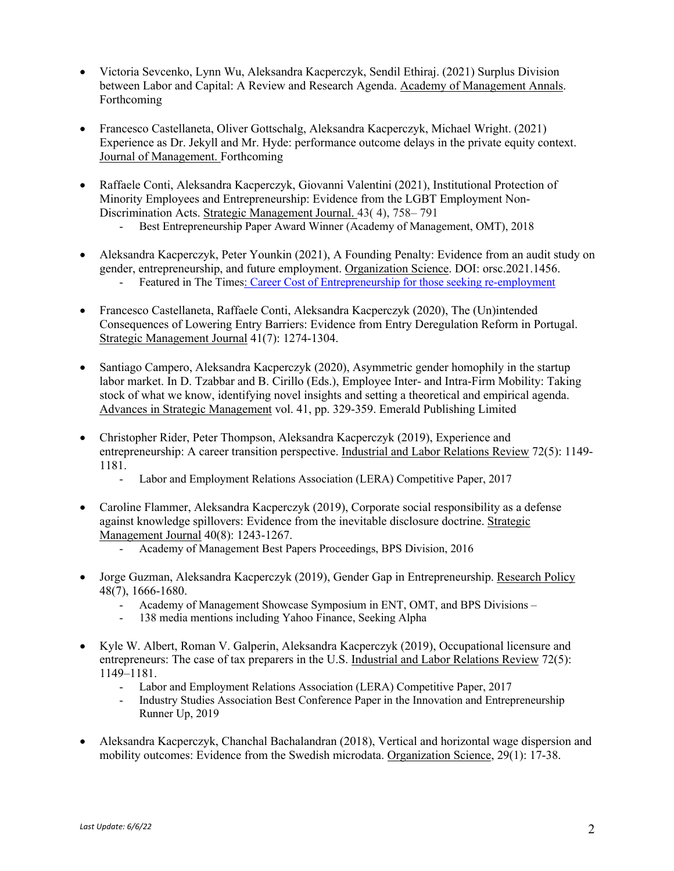- Victoria Sevcenko, Lynn Wu, Aleksandra Kacperczyk, Sendil Ethiraj. (2021) Surplus Division between Labor and Capital: A Review and Research Agenda. Academy of Management Annals. Forthcoming
- Francesco Castellaneta, Oliver Gottschalg, Aleksandra Kacperczyk, Michael Wright. (2021) Experience as Dr. Jekyll and Mr. Hyde: performance outcome delays in the private equity context. Journal of Management. Forthcoming
- Raffaele Conti, Aleksandra Kacperczyk, Giovanni Valentini (2021), Institutional Protection of Minority Employees and Entrepreneurship: Evidence from the LGBT Employment Non-Discrimination Acts. Strategic Management Journal. 43( 4), 758– 791
	- Best Entrepreneurship Paper Award Winner (Academy of Management, OMT), 2018
- Aleksandra Kacperczyk, Peter Younkin (2021), A Founding Penalty: Evidence from an audit study on gender, entrepreneurship, and future employment. Organization Science. DOI: orsc.2021.1456.
	- Featured in The Times: Career Cost of Entrepreneurship for those seeking re-employment
- Francesco Castellaneta, Raffaele Conti, Aleksandra Kacperczyk (2020), The (Un)intended Consequences of Lowering Entry Barriers: Evidence from Entry Deregulation Reform in Portugal. Strategic Management Journal 41(7): 1274-1304.
- Santiago Campero, Aleksandra Kacperczyk (2020), Asymmetric gender homophily in the startup labor market. In D. Tzabbar and B. Cirillo (Eds.), Employee Inter- and Intra-Firm Mobility: Taking stock of what we know, identifying novel insights and setting a theoretical and empirical agenda. Advances in Strategic Management vol. 41, pp. 329-359. Emerald Publishing Limited
- Christopher Rider, Peter Thompson, Aleksandra Kacperczyk (2019), Experience and entrepreneurship: A career transition perspective. Industrial and Labor Relations Review 72(5): 1149- 1181.
	- Labor and Employment Relations Association (LERA) Competitive Paper, 2017
- Caroline Flammer, Aleksandra Kacperczyk (2019), Corporate social responsibility as a defense against knowledge spillovers: Evidence from the inevitable disclosure doctrine. Strategic Management Journal 40(8): 1243-1267.
	- Academy of Management Best Papers Proceedings, BPS Division, 2016
- Jorge Guzman, Aleksandra Kacperczyk (2019), Gender Gap in Entrepreneurship. Research Policy 48(7), 1666-1680.
	- Academy of Management Showcase Symposium in ENT, OMT, and BPS Divisions –<br>- 138 media mentions including Yahoo Finance. Seeking Alpha
	- 138 media mentions including Yahoo Finance, Seeking Alpha
- Kyle W. Albert, Roman V. Galperin, Aleksandra Kacperczyk (2019), Occupational licensure and entrepreneurs: The case of tax preparers in the U.S. Industrial and Labor Relations Review 72(5): 1149–1181.
	- Labor and Employment Relations Association (LERA) Competitive Paper, 2017
	- Industry Studies Association Best Conference Paper in the Innovation and Entrepreneurship Runner Up, 2019
- Aleksandra Kacperczyk, Chanchal Bachalandran (2018), Vertical and horizontal wage dispersion and mobility outcomes: Evidence from the Swedish microdata. Organization Science, 29(1): 17-38.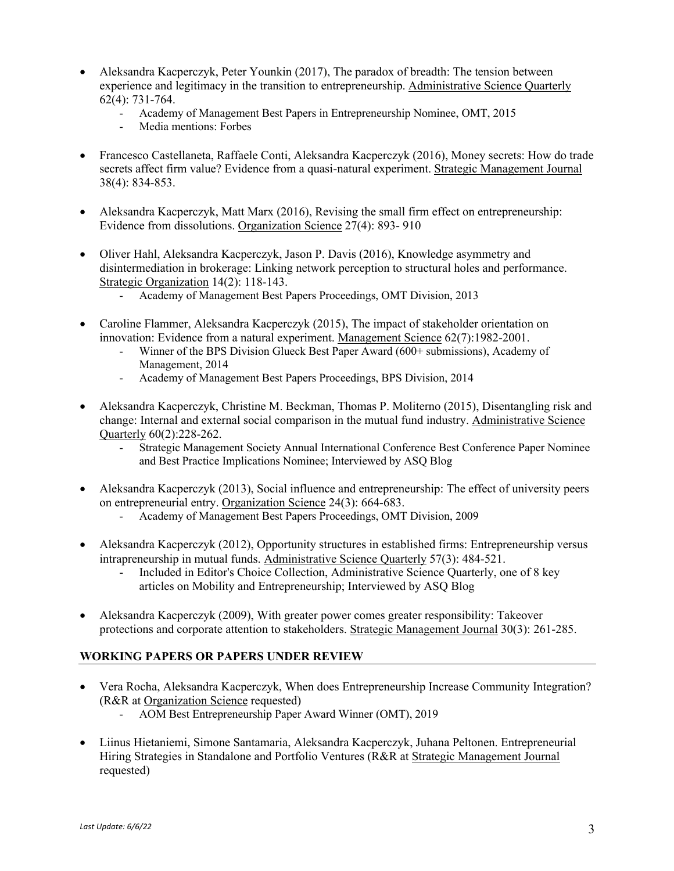- Aleksandra Kacperczyk, Peter Younkin (2017), The paradox of breadth: The tension between experience and legitimacy in the transition to entrepreneurship. Administrative Science Quarterly 62(4): 731-764.
	- Academy of Management Best Papers in Entrepreneurship Nominee, OMT, 2015
	- Media mentions: Forbes
- Francesco Castellaneta, Raffaele Conti, Aleksandra Kacperczyk (2016), Money secrets: How do trade secrets affect firm value? Evidence from a quasi-natural experiment. Strategic Management Journal 38(4): 834-853.
- Aleksandra Kacperczyk, Matt Marx (2016), Revising the small firm effect on entrepreneurship: Evidence from dissolutions. Organization Science 27(4): 893- 910
- Oliver Hahl, Aleksandra Kacperczyk, Jason P. Davis (2016), Knowledge asymmetry and disintermediation in brokerage: Linking network perception to structural holes and performance. Strategic Organization 14(2): 118-143.
	- Academy of Management Best Papers Proceedings, OMT Division, 2013
- Caroline Flammer, Aleksandra Kacperczyk (2015), The impact of stakeholder orientation on innovation: Evidence from a natural experiment. Management Science 62(7):1982-2001.
	- Winner of the BPS Division Glueck Best Paper Award (600+ submissions), Academy of Management, 2014
	- Academy of Management Best Papers Proceedings, BPS Division, 2014
- Aleksandra Kacperczyk, Christine M. Beckman, Thomas P. Moliterno (2015), Disentangling risk and change: Internal and external social comparison in the mutual fund industry. Administrative Science Quarterly 60(2):228-262.
	- Strategic Management Society Annual International Conference Best Conference Paper Nominee and Best Practice Implications Nominee; Interviewed by ASQ Blog
- Aleksandra Kacperczyk (2013), Social influence and entrepreneurship: The effect of university peers on entrepreneurial entry. Organization Science 24(3): 664-683.
	- Academy of Management Best Papers Proceedings, OMT Division, 2009
- Aleksandra Kacperczyk (2012), Opportunity structures in established firms: Entrepreneurship versus intrapreneurship in mutual funds. Administrative Science Quarterly 57(3): 484-521.
	- Included in Editor's Choice Collection, Administrative Science Quarterly, one of 8 key articles on Mobility and Entrepreneurship; Interviewed by ASQ Blog
- Aleksandra Kacperczyk (2009), With greater power comes greater responsibility: Takeover protections and corporate attention to stakeholders. Strategic Management Journal 30(3): 261-285.

# **WORKING PAPERS OR PAPERS UNDER REVIEW**

- Vera Rocha, Aleksandra Kacperczyk, When does Entrepreneurship Increase Community Integration? (R&R at Organization Science requested)
	- AOM Best Entrepreneurship Paper Award Winner (OMT), 2019
- Liinus Hietaniemi, Simone Santamaria, Aleksandra Kacperczyk, Juhana Peltonen. Entrepreneurial Hiring Strategies in Standalone and Portfolio Ventures (R&R at Strategic Management Journal requested)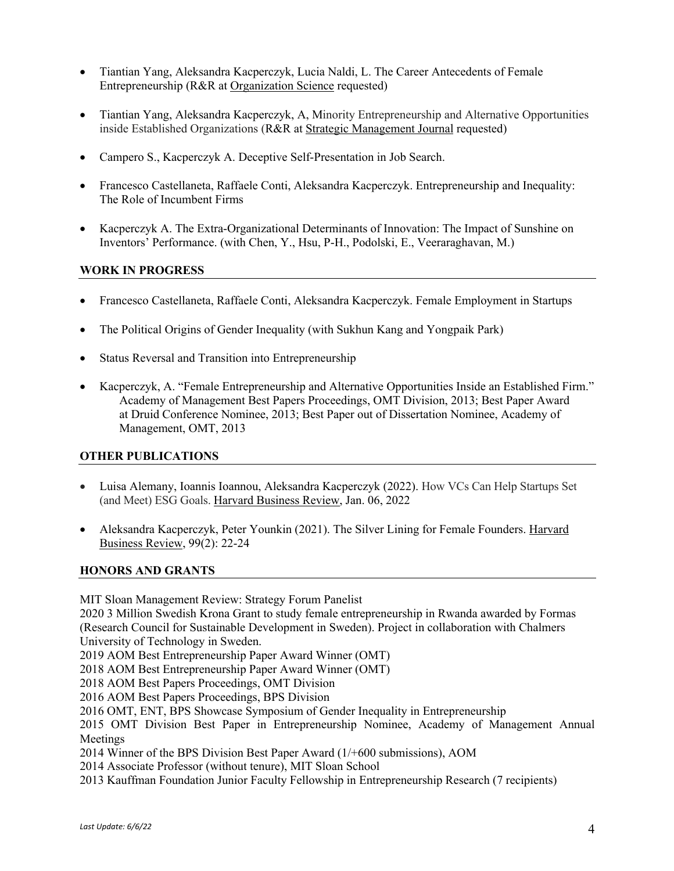- Tiantian Yang, Aleksandra Kacperczyk, Lucia Naldi, L. The Career Antecedents of Female Entrepreneurship (R&R at Organization Science requested)
- Tiantian Yang, Aleksandra Kacperczyk, A, Minority Entrepreneurship and Alternative Opportunities inside Established Organizations (R&R at Strategic Management Journal requested)
- Campero S., Kacperczyk A. Deceptive Self-Presentation in Job Search.
- Francesco Castellaneta, Raffaele Conti, Aleksandra Kacperczyk. Entrepreneurship and Inequality: The Role of Incumbent Firms
- Kacperczyk A. The Extra-Organizational Determinants of Innovation: The Impact of Sunshine on Inventors' Performance. (with Chen, Y., Hsu, P-H., Podolski, E., Veeraraghavan, M.)

# **WORK IN PROGRESS**

- Francesco Castellaneta, Raffaele Conti, Aleksandra Kacperczyk. Female Employment in Startups
- The Political Origins of Gender Inequality (with Sukhun Kang and Yongpaik Park)
- Status Reversal and Transition into Entrepreneurship
- Kacperczyk, A. "Female Entrepreneurship and Alternative Opportunities Inside an Established Firm." Academy of Management Best Papers Proceedings, OMT Division, 2013; Best Paper Award at Druid Conference Nominee, 2013; Best Paper out of Dissertation Nominee, Academy of Management, OMT, 2013

## **OTHER PUBLICATIONS**

- Luisa Alemany, Ioannis Ioannou, Aleksandra Kacperczyk (2022). How VCs Can Help Startups Set (and Meet) ESG Goals. Harvard Business Review, Jan. 06, 2022
- Aleksandra Kacperczyk, Peter Younkin (2021). The Silver Lining for Female Founders. Harvard Business Review, 99(2): 22-24

## **HONORS AND GRANTS**

MIT Sloan Management Review: Strategy Forum Panelist 2020 3 Million Swedish Krona Grant to study female entrepreneurship in Rwanda awarded by Formas

(Research Council for Sustainable Development in Sweden). Project in collaboration with Chalmers University of Technology in Sweden.

2019 AOM Best Entrepreneurship Paper Award Winner (OMT)

2018 AOM Best Entrepreneurship Paper Award Winner (OMT)

2018 AOM Best Papers Proceedings, OMT Division

2016 AOM Best Papers Proceedings, BPS Division

2016 OMT, ENT, BPS Showcase Symposium of Gender Inequality in Entrepreneurship

2015 OMT Division Best Paper in Entrepreneurship Nominee, Academy of Management Annual Meetings

2014 Winner of the BPS Division Best Paper Award (1/+600 submissions), AOM

2014 Associate Professor (without tenure), MIT Sloan School

2013 Kauffman Foundation Junior Faculty Fellowship in Entrepreneurship Research (7 recipients)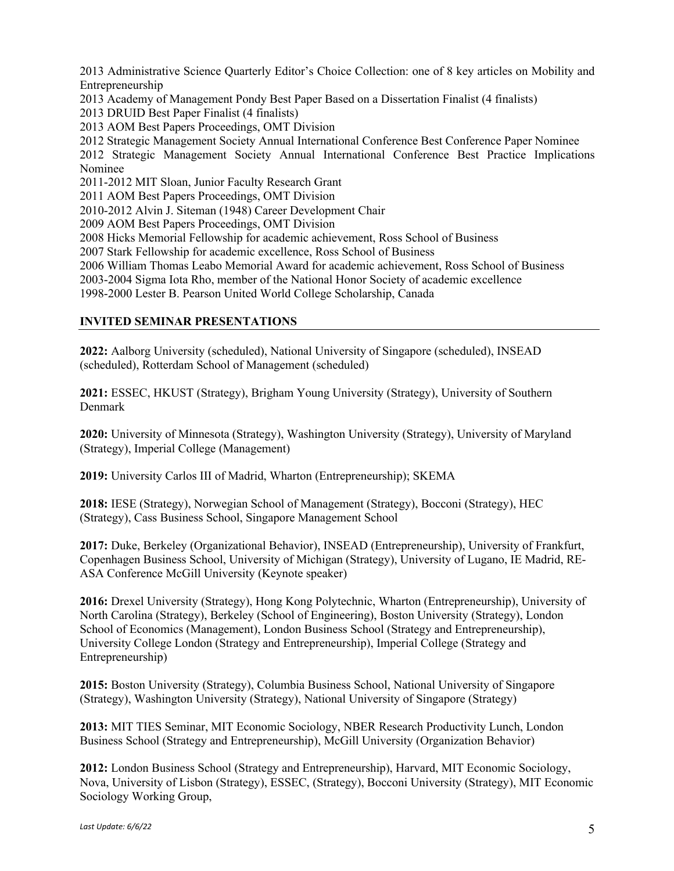2013 Administrative Science Quarterly Editor's Choice Collection: one of 8 key articles on Mobility and Entrepreneurship

2013 Academy of Management Pondy Best Paper Based on a Dissertation Finalist (4 finalists)

2013 DRUID Best Paper Finalist (4 finalists)

2013 AOM Best Papers Proceedings, OMT Division

2012 Strategic Management Society Annual International Conference Best Conference Paper Nominee

2012 Strategic Management Society Annual International Conference Best Practice Implications Nominee

2011-2012 MIT Sloan, Junior Faculty Research Grant

2011 AOM Best Papers Proceedings, OMT Division

2010-2012 Alvin J. Siteman (1948) Career Development Chair

2009 AOM Best Papers Proceedings, OMT Division

2008 Hicks Memorial Fellowship for academic achievement, Ross School of Business

2007 Stark Fellowship for academic excellence, Ross School of Business

2006 William Thomas Leabo Memorial Award for academic achievement, Ross School of Business

2003-2004 Sigma Iota Rho, member of the National Honor Society of academic excellence

1998-2000 Lester B. Pearson United World College Scholarship, Canada

## **INVITED SEMINAR PRESENTATIONS**

**2022:** Aalborg University (scheduled), National University of Singapore (scheduled), INSEAD (scheduled), Rotterdam School of Management (scheduled)

**2021:** ESSEC, HKUST (Strategy), Brigham Young University (Strategy), University of Southern Denmark

**2020:** University of Minnesota (Strategy), Washington University (Strategy), University of Maryland (Strategy), Imperial College (Management)

**2019:** University Carlos III of Madrid, Wharton (Entrepreneurship); SKEMA

**2018:** IESE (Strategy), Norwegian School of Management (Strategy), Bocconi (Strategy), HEC (Strategy), Cass Business School, Singapore Management School

**2017:** Duke, Berkeley (Organizational Behavior), INSEAD (Entrepreneurship), University of Frankfurt, Copenhagen Business School, University of Michigan (Strategy), University of Lugano, IE Madrid, RE-ASA Conference McGill University (Keynote speaker)

**2016:** Drexel University (Strategy), Hong Kong Polytechnic, Wharton (Entrepreneurship), University of North Carolina (Strategy), Berkeley (School of Engineering), Boston University (Strategy), London School of Economics (Management), London Business School (Strategy and Entrepreneurship), University College London (Strategy and Entrepreneurship), Imperial College (Strategy and Entrepreneurship)

**2015:** Boston University (Strategy), Columbia Business School, National University of Singapore (Strategy), Washington University (Strategy), National University of Singapore (Strategy)

**2013:** MIT TIES Seminar, MIT Economic Sociology, NBER Research Productivity Lunch, London Business School (Strategy and Entrepreneurship), McGill University (Organization Behavior)

**2012:** London Business School (Strategy and Entrepreneurship), Harvard, MIT Economic Sociology, Nova, University of Lisbon (Strategy), ESSEC, (Strategy), Bocconi University (Strategy), MIT Economic Sociology Working Group,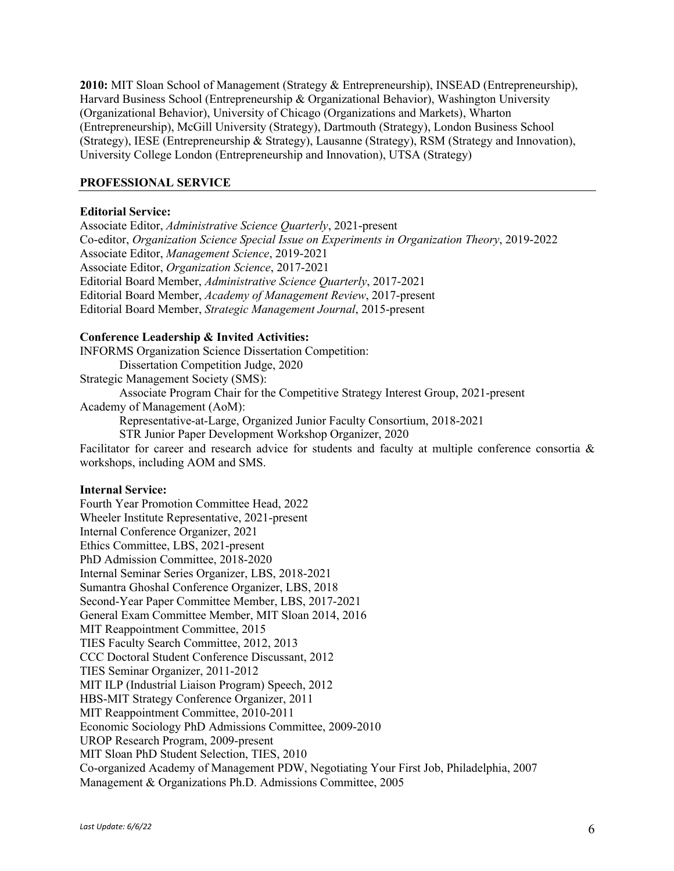**2010:** MIT Sloan School of Management (Strategy & Entrepreneurship), INSEAD (Entrepreneurship), Harvard Business School (Entrepreneurship & Organizational Behavior), Washington University (Organizational Behavior), University of Chicago (Organizations and Markets), Wharton (Entrepreneurship), McGill University (Strategy), Dartmouth (Strategy), London Business School (Strategy), IESE (Entrepreneurship & Strategy), Lausanne (Strategy), RSM (Strategy and Innovation), University College London (Entrepreneurship and Innovation), UTSA (Strategy)

# **PROFESSIONAL SERVICE**

## **Editorial Service:**

Associate Editor, *Administrative Science Quarterly*, 2021-present Co-editor, *Organization Science Special Issue on Experiments in Organization Theory*, 2019-2022 Associate Editor, *Management Science*, 2019-2021 Associate Editor, *Organization Science*, 2017-2021 Editorial Board Member, *Administrative Science Quarterly*, 2017-2021 Editorial Board Member, *Academy of Management Review*, 2017-present Editorial Board Member, *Strategic Management Journal*, 2015-present

## **Conference Leadership & Invited Activities:**

INFORMS Organization Science Dissertation Competition: Dissertation Competition Judge, 2020 Strategic Management Society (SMS): Associate Program Chair for the Competitive Strategy Interest Group, 2021-present Academy of Management (AoM): Representative-at-Large, Organized Junior Faculty Consortium, 2018-2021 STR Junior Paper Development Workshop Organizer, 2020 Facilitator for career and research advice for students and faculty at multiple conference consortia & workshops, including AOM and SMS.

## **Internal Service:**

Fourth Year Promotion Committee Head, 2022 Wheeler Institute Representative, 2021-present Internal Conference Organizer, 2021 Ethics Committee, LBS, 2021-present PhD Admission Committee, 2018-2020 Internal Seminar Series Organizer, LBS, 2018-2021 Sumantra Ghoshal Conference Organizer, LBS, 2018 Second-Year Paper Committee Member, LBS, 2017-2021 General Exam Committee Member, MIT Sloan 2014, 2016 MIT Reappointment Committee, 2015 TIES Faculty Search Committee, 2012, 2013 CCC Doctoral Student Conference Discussant, 2012 TIES Seminar Organizer, 2011-2012 MIT ILP (Industrial Liaison Program) Speech, 2012 HBS-MIT Strategy Conference Organizer, 2011 MIT Reappointment Committee, 2010-2011 Economic Sociology PhD Admissions Committee, 2009-2010 UROP Research Program, 2009-present MIT Sloan PhD Student Selection, TIES, 2010 Co-organized Academy of Management PDW, Negotiating Your First Job, Philadelphia, 2007 Management & Organizations Ph.D. Admissions Committee, 2005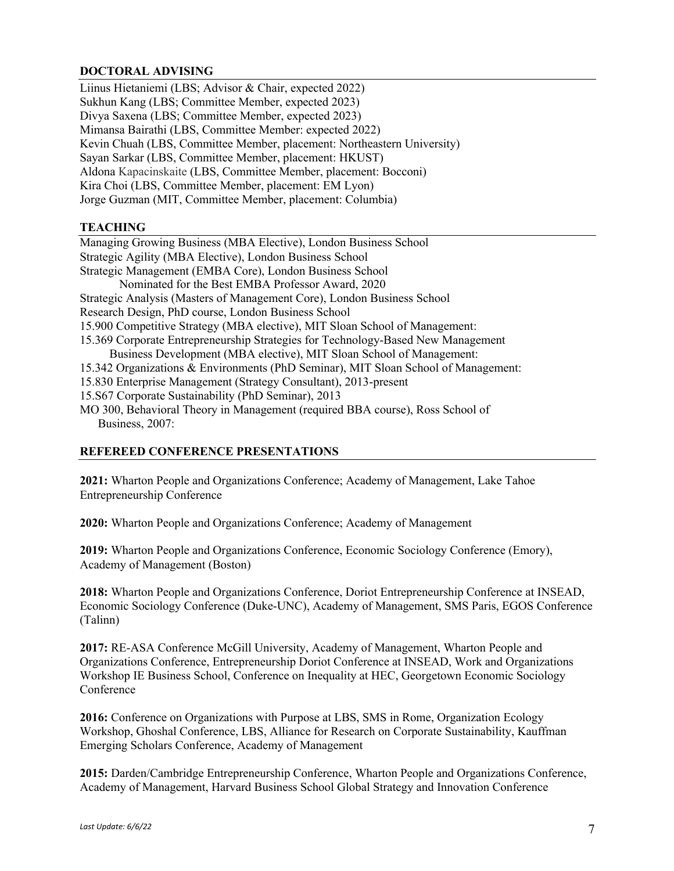## **DOCTORAL ADVISING**

Liinus Hietaniemi (LBS; Advisor & Chair, expected 2022) Sukhun Kang (LBS; Committee Member, expected 2023) Divya Saxena (LBS; Committee Member, expected 2023) Mimansa Bairathi (LBS, Committee Member: expected 2022) Kevin Chuah (LBS, Committee Member, placement: Northeastern University) Sayan Sarkar (LBS, Committee Member, placement: HKUST) Aldona Kapacinskaite (LBS, Committee Member, placement: Bocconi) Kira Choi (LBS, Committee Member, placement: EM Lyon) Jorge Guzman (MIT, Committee Member, placement: Columbia)

## **TEACHING**

Managing Growing Business (MBA Elective), London Business School Strategic Agility (MBA Elective), London Business School Strategic Management (EMBA Core), London Business School Nominated for the Best EMBA Professor Award, 2020 Strategic Analysis (Masters of Management Core), London Business School Research Design, PhD course, London Business School 15.900 Competitive Strategy (MBA elective), MIT Sloan School of Management: 15.369 Corporate Entrepreneurship Strategies for Technology-Based New Management Business Development (MBA elective), MIT Sloan School of Management: 15.342 Organizations & Environments (PhD Seminar), MIT Sloan School of Management: 15.830 Enterprise Management (Strategy Consultant), 2013-present 15.S67 Corporate Sustainability (PhD Seminar), 2013 MO 300, Behavioral Theory in Management (required BBA course), Ross School of Business, 2007:

## **REFEREED CONFERENCE PRESENTATIONS**

**2021:** Wharton People and Organizations Conference; Academy of Management, Lake Tahoe Entrepreneurship Conference

**2020:** Wharton People and Organizations Conference; Academy of Management

**2019:** Wharton People and Organizations Conference, Economic Sociology Conference (Emory), Academy of Management (Boston)

**2018:** Wharton People and Organizations Conference, Doriot Entrepreneurship Conference at INSEAD, Economic Sociology Conference (Duke-UNC), Academy of Management, SMS Paris, EGOS Conference (Talinn)

**2017:** RE-ASA Conference McGill University, Academy of Management, Wharton People and Organizations Conference, Entrepreneurship Doriot Conference at INSEAD, Work and Organizations Workshop IE Business School, Conference on Inequality at HEC, Georgetown Economic Sociology Conference

**2016:** Conference on Organizations with Purpose at LBS, SMS in Rome, Organization Ecology Workshop, Ghoshal Conference, LBS, Alliance for Research on Corporate Sustainability, Kauffman Emerging Scholars Conference, Academy of Management

**2015:** Darden/Cambridge Entrepreneurship Conference, Wharton People and Organizations Conference, Academy of Management, Harvard Business School Global Strategy and Innovation Conference